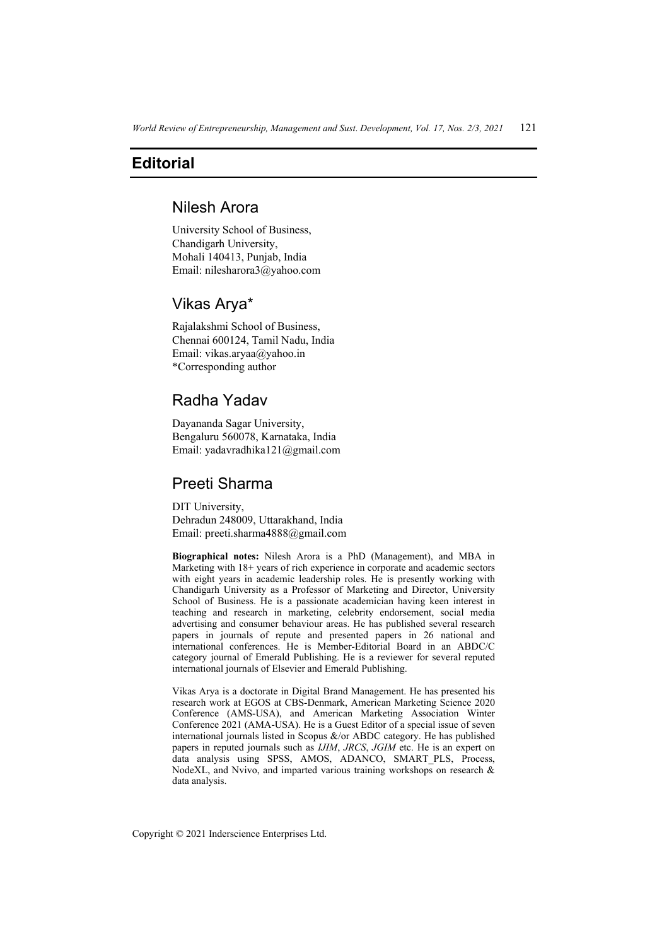# **Editorial**

#### Nilesh Arora

University School of Business, Chandigarh University, Mohali 140413, Punjab, India Email: nilesharora3@yahoo.com

## Vikas Arya\*

Rajalakshmi School of Business, Chennai 600124, Tamil Nadu, India Email: vikas.aryaa@yahoo.in \*Corresponding author

## Radha Yadav

Dayananda Sagar University, Bengaluru 560078, Karnataka, India Email: yadavradhika121@gmail.com

# Preeti Sharma

DIT University, Dehradun 248009, Uttarakhand, India Email: preeti.sharma4888@gmail.com

**Biographical notes:** Nilesh Arora is a PhD (Management), and MBA in Marketing with 18+ years of rich experience in corporate and academic sectors with eight years in academic leadership roles. He is presently working with Chandigarh University as a Professor of Marketing and Director, University School of Business. He is a passionate academician having keen interest in teaching and research in marketing, celebrity endorsement, social media advertising and consumer behaviour areas. He has published several research papers in journals of repute and presented papers in 26 national and international conferences. He is Member-Editorial Board in an ABDC/C category journal of Emerald Publishing. He is a reviewer for several reputed international journals of Elsevier and Emerald Publishing.

Vikas Arya is a doctorate in Digital Brand Management. He has presented his research work at EGOS at CBS-Denmark, American Marketing Science 2020 Conference (AMS-USA), and American Marketing Association Winter Conference 2021 (AMA-USA). He is a Guest Editor of a special issue of seven international journals listed in Scopus  $\&$ /or ABDC category. He has published papers in reputed journals such as *IJIM*, *JRCS*, *JGIM* etc. He is an expert on data analysis using SPSS, AMOS, ADANCO, SMART PLS, Process, NodeXL, and Nvivo, and imparted various training workshops on research & data analysis.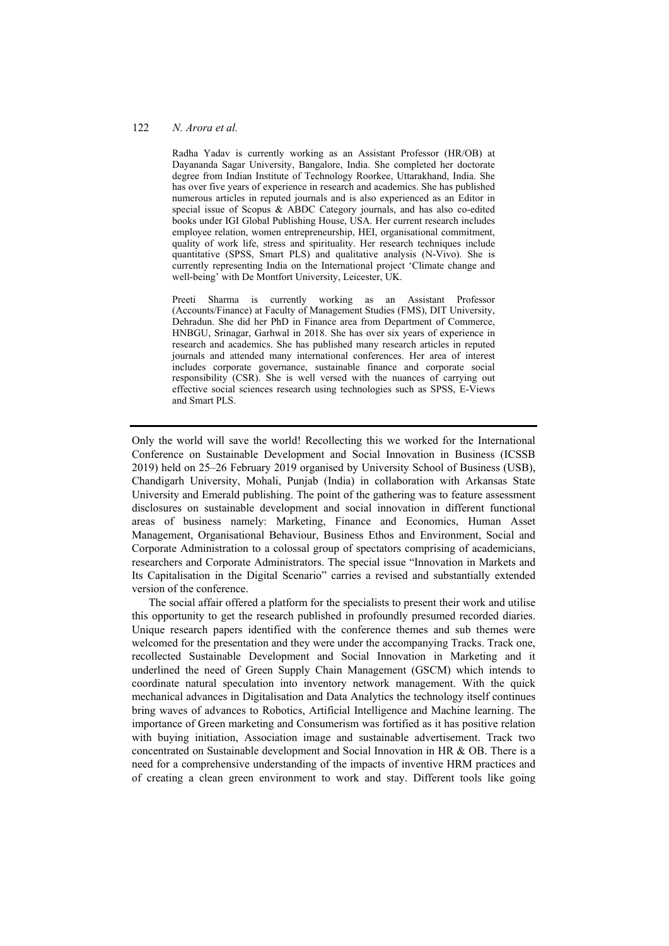#### 122 *N. Arora et al.*

Radha Yadav is currently working as an Assistant Professor (HR/OB) at Dayananda Sagar University, Bangalore, India. She completed her doctorate degree from Indian Institute of Technology Roorkee, Uttarakhand, India. She has over five years of experience in research and academics. She has published numerous articles in reputed journals and is also experienced as an Editor in special issue of Scopus & ABDC Category journals, and has also co-edited books under IGI Global Publishing House, USA. Her current research includes employee relation, women entrepreneurship, HEI, organisational commitment, quality of work life, stress and spirituality. Her research techniques include quantitative (SPSS, Smart PLS) and qualitative analysis (N-Vivo). She is currently representing India on the International project 'Climate change and well-being' with De Montfort University, Leicester, UK.

Preeti Sharma is currently working as an Assistant Professor (Accounts/Finance) at Faculty of Management Studies (FMS), DIT University, Dehradun. She did her PhD in Finance area from Department of Commerce, HNBGU, Srinagar, Garhwal in 2018. She has over six years of experience in research and academics. She has published many research articles in reputed journals and attended many international conferences. Her area of interest includes corporate governance, sustainable finance and corporate social responsibility (CSR). She is well versed with the nuances of carrying out effective social sciences research using technologies such as SPSS, E-Views and Smart PLS.

Only the world will save the world! Recollecting this we worked for the International Conference on Sustainable Development and Social Innovation in Business (ICSSB 2019) held on 25–26 February 2019 organised by University School of Business (USB), Chandigarh University, Mohali, Punjab (India) in collaboration with Arkansas State University and Emerald publishing. The point of the gathering was to feature assessment disclosures on sustainable development and social innovation in different functional areas of business namely: Marketing, Finance and Economics, Human Asset Management, Organisational Behaviour, Business Ethos and Environment, Social and Corporate Administration to a colossal group of spectators comprising of academicians, researchers and Corporate Administrators. The special issue "Innovation in Markets and Its Capitalisation in the Digital Scenario" carries a revised and substantially extended version of the conference.

The social affair offered a platform for the specialists to present their work and utilise this opportunity to get the research published in profoundly presumed recorded diaries. Unique research papers identified with the conference themes and sub themes were welcomed for the presentation and they were under the accompanying Tracks. Track one, recollected Sustainable Development and Social Innovation in Marketing and it underlined the need of Green Supply Chain Management (GSCM) which intends to coordinate natural speculation into inventory network management. With the quick mechanical advances in Digitalisation and Data Analytics the technology itself continues bring waves of advances to Robotics, Artificial Intelligence and Machine learning. The importance of Green marketing and Consumerism was fortified as it has positive relation with buying initiation, Association image and sustainable advertisement. Track two concentrated on Sustainable development and Social Innovation in HR & OB. There is a need for a comprehensive understanding of the impacts of inventive HRM practices and of creating a clean green environment to work and stay. Different tools like going